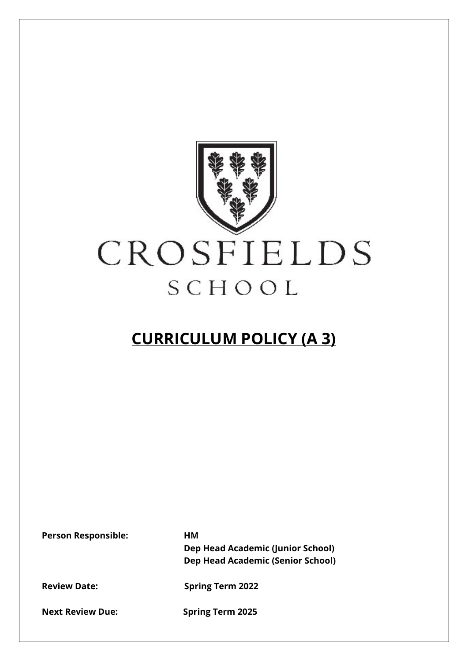

## **CURRICULUM POLICY (A 3)**

**Person Responsible: HM** 

**Dep Head Academic (Junior School) Dep Head Academic (Senior School)**

**Review Date: Spring Term 2022** 

**Next Review Due: Spring Term 2025**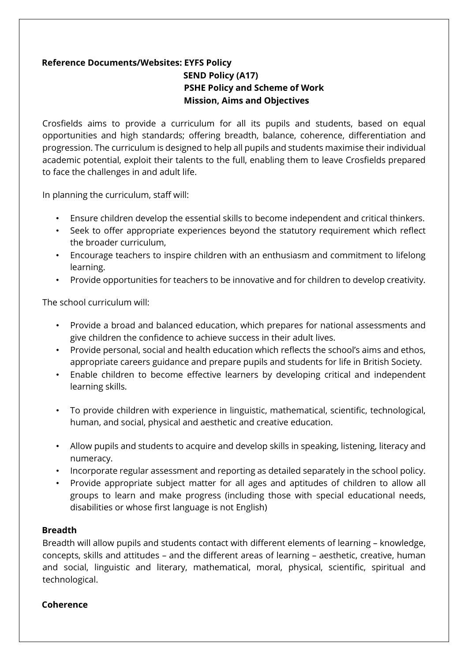## **Reference Documents/Websites: EYFS Policy SEND Policy (A17) PSHE Policy and Scheme of Work Mission, Aims and Objectives**

Crosfields aims to provide a curriculum for all its pupils and students, based on equal opportunities and high standards; offering breadth, balance, coherence, differentiation and progression. The curriculum is designed to help all pupils and students maximise their individual academic potential, exploit their talents to the full, enabling them to leave Crosfields prepared to face the challenges in and adult life.

In planning the curriculum, staff will:

- Ensure children develop the essential skills to become independent and critical thinkers.
- Seek to offer appropriate experiences beyond the statutory requirement which reflect the broader curriculum,
- Encourage teachers to inspire children with an enthusiasm and commitment to lifelong learning.
- Provide opportunities for teachers to be innovative and for children to develop creativity.

The school curriculum will:

- Provide a broad and balanced education, which prepares for national assessments and give children the confidence to achieve success in their adult lives.
- Provide personal, social and health education which reflects the school's aims and ethos, appropriate careers guidance and prepare pupils and students for life in British Society.
- Enable children to become effective learners by developing critical and independent learning skills.
- To provide children with experience in linguistic, mathematical, scientific, technological, human, and social, physical and aesthetic and creative education.
- Allow pupils and students to acquire and develop skills in speaking, listening, literacy and numeracy.
- Incorporate regular assessment and reporting as detailed separately in the school policy.
- Provide appropriate subject matter for all ages and aptitudes of children to allow all groups to learn and make progress (including those with special educational needs, disabilities or whose first language is not English)

## **Breadth**

Breadth will allow pupils and students contact with different elements of learning – knowledge, concepts, skills and attitudes – and the different areas of learning – aesthetic, creative, human and social, linguistic and literary, mathematical, moral, physical, scientific, spiritual and technological.

## **Coherence**